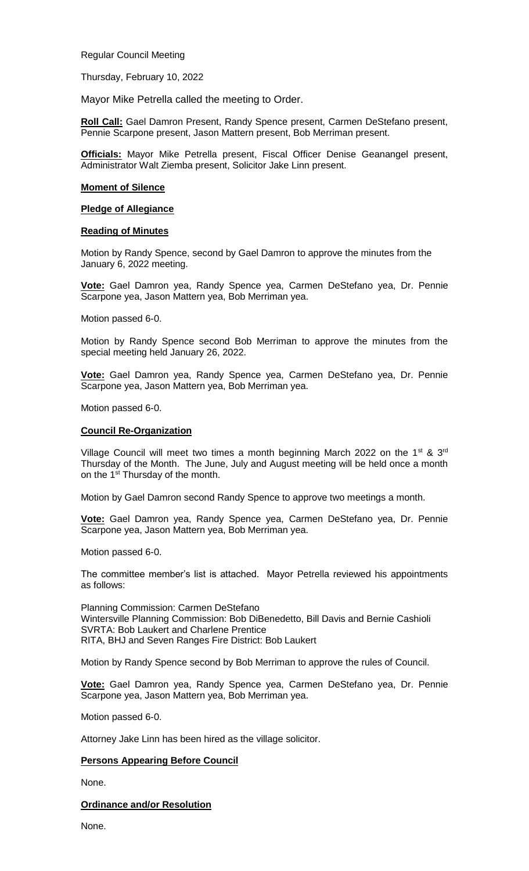Regular Council Meeting

Thursday, February 10, 2022

Mayor Mike Petrella called the meeting to Order.

**Roll Call:** Gael Damron Present, Randy Spence present, Carmen DeStefano present, Pennie Scarpone present, Jason Mattern present, Bob Merriman present.

**Officials:** Mayor Mike Petrella present, Fiscal Officer Denise Geanangel present, Administrator Walt Ziemba present, Solicitor Jake Linn present.

#### **Moment of Silence**

### **Pledge of Allegiance**

### **Reading of Minutes**

Motion by Randy Spence, second by Gael Damron to approve the minutes from the January 6, 2022 meeting.

**Vote:** Gael Damron yea, Randy Spence yea, Carmen DeStefano yea, Dr. Pennie Scarpone yea, Jason Mattern yea, Bob Merriman yea.

Motion passed 6-0.

Motion by Randy Spence second Bob Merriman to approve the minutes from the special meeting held January 26, 2022.

**Vote:** Gael Damron yea, Randy Spence yea, Carmen DeStefano yea, Dr. Pennie Scarpone yea, Jason Mattern yea, Bob Merriman yea.

Motion passed 6-0.

### **Council Re-Organization**

Village Council will meet two times a month beginning March 2022 on the 1<sup>st</sup> & 3<sup>rd</sup> Thursday of the Month. The June, July and August meeting will be held once a month on the 1<sup>st</sup> Thursday of the month.

Motion by Gael Damron second Randy Spence to approve two meetings a month.

**Vote:** Gael Damron yea, Randy Spence yea, Carmen DeStefano yea, Dr. Pennie Scarpone yea, Jason Mattern yea, Bob Merriman yea.

Motion passed 6-0.

The committee member's list is attached. Mayor Petrella reviewed his appointments as follows:

Planning Commission: Carmen DeStefano Wintersville Planning Commission: Bob DiBenedetto, Bill Davis and Bernie Cashioli SVRTA: Bob Laukert and Charlene Prentice RITA, BHJ and Seven Ranges Fire District: Bob Laukert

Motion by Randy Spence second by Bob Merriman to approve the rules of Council.

**Vote:** Gael Damron yea, Randy Spence yea, Carmen DeStefano yea, Dr. Pennie Scarpone yea, Jason Mattern yea, Bob Merriman yea.

Motion passed 6-0.

Attorney Jake Linn has been hired as the village solicitor.

## **Persons Appearing Before Council**

None.

## **Ordinance and/or Resolution**

None.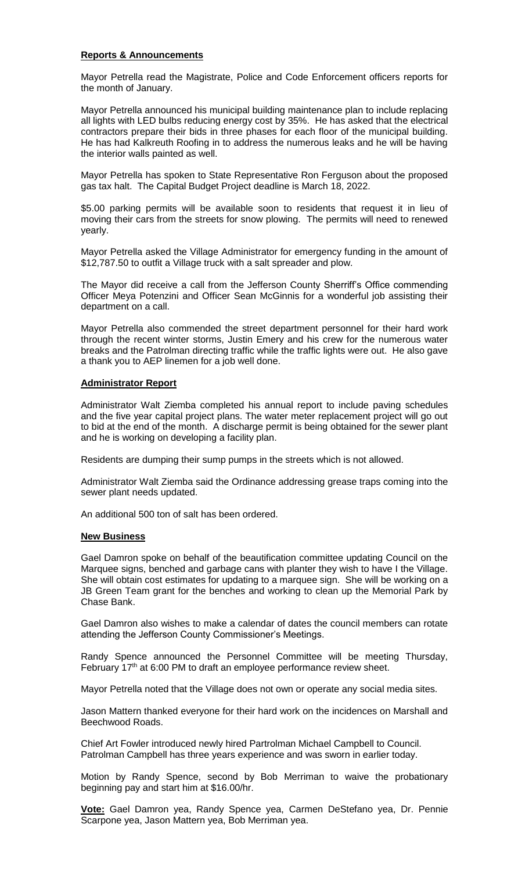## **Reports & Announcements**

Mayor Petrella read the Magistrate, Police and Code Enforcement officers reports for the month of January.

Mayor Petrella announced his municipal building maintenance plan to include replacing all lights with LED bulbs reducing energy cost by 35%. He has asked that the electrical contractors prepare their bids in three phases for each floor of the municipal building. He has had Kalkreuth Roofing in to address the numerous leaks and he will be having the interior walls painted as well.

Mayor Petrella has spoken to State Representative Ron Ferguson about the proposed gas tax halt. The Capital Budget Project deadline is March 18, 2022.

\$5.00 parking permits will be available soon to residents that request it in lieu of moving their cars from the streets for snow plowing. The permits will need to renewed yearly.

Mayor Petrella asked the Village Administrator for emergency funding in the amount of \$12,787.50 to outfit a Village truck with a salt spreader and plow.

The Mayor did receive a call from the Jefferson County Sherriff's Office commending Officer Meya Potenzini and Officer Sean McGinnis for a wonderful job assisting their department on a call.

Mayor Petrella also commended the street department personnel for their hard work through the recent winter storms, Justin Emery and his crew for the numerous water breaks and the Patrolman directing traffic while the traffic lights were out. He also gave a thank you to AEP linemen for a job well done.

# **Administrator Report**

Administrator Walt Ziemba completed his annual report to include paving schedules and the five year capital project plans. The water meter replacement project will go out to bid at the end of the month. A discharge permit is being obtained for the sewer plant and he is working on developing a facility plan.

Residents are dumping their sump pumps in the streets which is not allowed.

Administrator Walt Ziemba said the Ordinance addressing grease traps coming into the sewer plant needs updated.

An additional 500 ton of salt has been ordered.

## **New Business**

Gael Damron spoke on behalf of the beautification committee updating Council on the Marquee signs, benched and garbage cans with planter they wish to have I the Village. She will obtain cost estimates for updating to a marquee sign. She will be working on a JB Green Team grant for the benches and working to clean up the Memorial Park by Chase Bank.

Gael Damron also wishes to make a calendar of dates the council members can rotate attending the Jefferson County Commissioner's Meetings.

Randy Spence announced the Personnel Committee will be meeting Thursday, February 17<sup>th</sup> at 6:00 PM to draft an employee performance review sheet.

Mayor Petrella noted that the Village does not own or operate any social media sites.

Jason Mattern thanked everyone for their hard work on the incidences on Marshall and Beechwood Roads.

Chief Art Fowler introduced newly hired Partrolman Michael Campbell to Council. Patrolman Campbell has three years experience and was sworn in earlier today.

Motion by Randy Spence, second by Bob Merriman to waive the probationary beginning pay and start him at \$16.00/hr.

**Vote:** Gael Damron yea, Randy Spence yea, Carmen DeStefano yea, Dr. Pennie Scarpone yea, Jason Mattern yea, Bob Merriman yea.